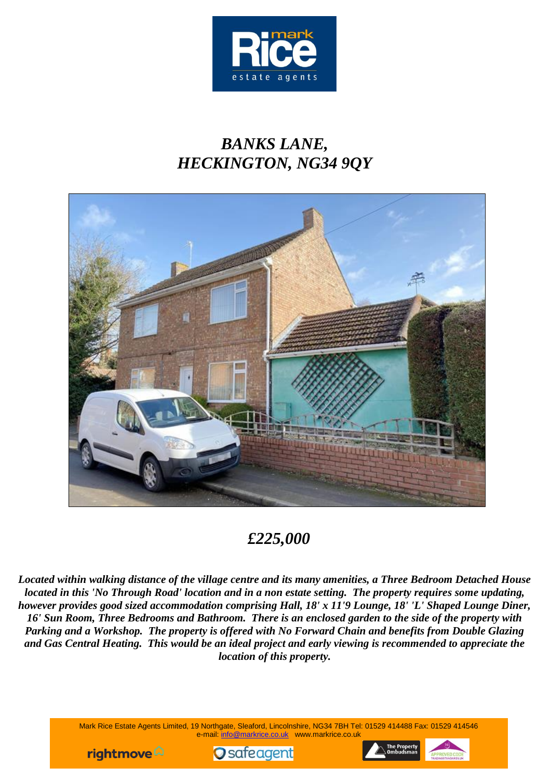

# *BANKS LANE, HECKINGTON, NG34 9QY*



## *£225,000*

*Located within walking distance of the village centre and its many amenities, a Three Bedroom Detached House located in this 'No Through Road' location and in a non estate setting. The property requires some updating, however provides good sized accommodation comprising Hall, 18' x 11'9 Lounge, 18' 'L' Shaped Lounge Diner, 16' Sun Room, Three Bedrooms and Bathroom. There is an enclosed garden to the side of the property with Parking and a Workshop. The property is offered with No Forward Chain and benefits from Double Glazing and Gas Central Heating. This would be an ideal project and early viewing is recommended to appreciate the location of this property.*

> Mark Rice Estate Agents Limited, 19 Northgate, Sleaford, Lincolnshire, NG34 7BH Tel: 01529 414488 Fax: 01529 414546 e-mail: info@markrice.co.uk www.markrice.co.uk





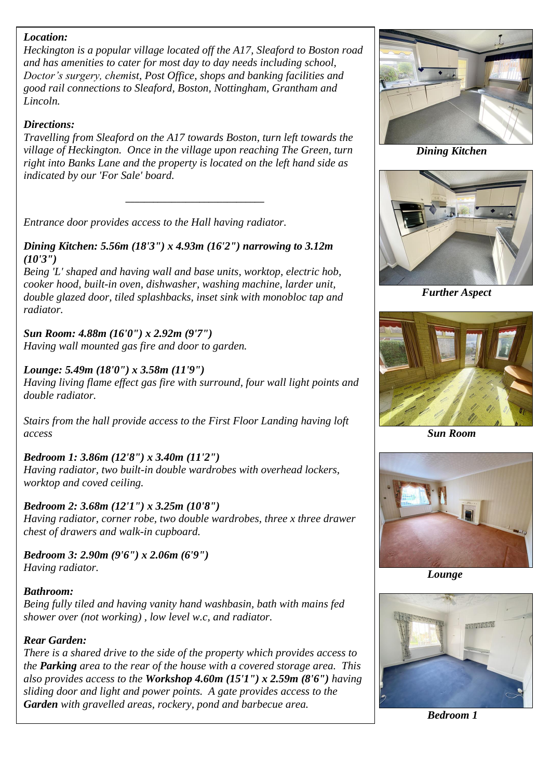#### *Location:*

*Heckington is a popular village located off the A17, Sleaford to Boston road and has amenities to cater for most day to day needs including school, Doctor's surgery, chemist, Post Office, shops and banking facilities and good rail connections to Sleaford, Boston, Nottingham, Grantham and Lincoln.*

#### *Directions:*

*Travelling from Sleaford on the A17 towards Boston, turn left towards the village of Heckington. Once in the village upon reaching The Green, turn right into Banks Lane and the property is located on the left hand side as indicated by our 'For Sale' board.*

*\_\_\_\_\_\_\_\_\_\_\_\_\_\_\_\_\_\_\_\_\_\_\_\_\_\_\_\_\_\_*

*Entrance door provides access to the Hall having radiator.*

#### *Dining Kitchen: 5.56m (18'3") x 4.93m (16'2") narrowing to 3.12m (10'3")*

*Being 'L' shaped and having wall and base units, worktop, electric hob, cooker hood, built-in oven, dishwasher, washing machine, larder unit, double glazed door, tiled splashbacks, inset sink with monobloc tap and radiator.*

## *Sun Room: 4.88m (16'0") x 2.92m (9'7")*

*Having wall mounted gas fire and door to garden.*

#### *Lounge: 5.49m (18'0") x 3.58m (11'9")*

*Having living flame effect gas fire with surround, four wall light points and double radiator.*

*Stairs from the hall provide access to the First Floor Landing having loft access*

## *Bedroom 1: 3.86m (12'8") x 3.40m (11'2")*

*Having radiator, two built-in double wardrobes with overhead lockers, worktop and coved ceiling.*

## *Bedroom 2: 3.68m (12'1") x 3.25m (10'8")*

*Having radiator, corner robe, two double wardrobes, three x three drawer chest of drawers and walk-in cupboard.*

*Bedroom 3: 2.90m (9'6") x 2.06m (6'9") Having radiator.*

## *Bathroom:*

*Being fully tiled and having vanity hand washbasin, bath with mains fed shower over (not working) , low level w.c, and radiator.*

#### *Rear Garden:*

*There is a shared drive to the side of the property which provides access to the Parking area to the rear of the house with a covered storage area. This also provides access to the Workshop 4.60m (15'1") x 2.59m (8'6") having sliding door and light and power points. A gate provides access to the Garden with gravelled areas, rockery, pond and barbecue area.*



*Dining Kitchen*



 *Further Aspect*



 *Sun Room*



 *Lounge*



 *Bedroom 1*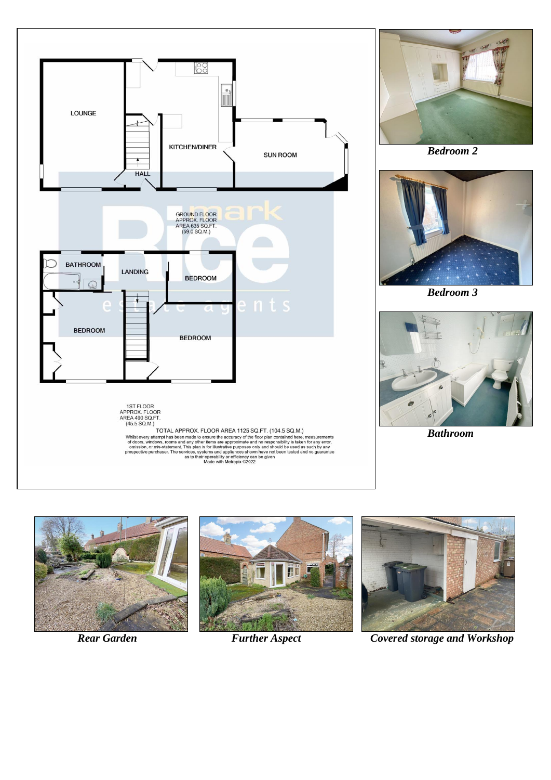



 *Bedroom 2*



 *Bedroom 3*



 *Bathroom*







*Rear Garden* Further Aspect Covered storage and Workshop